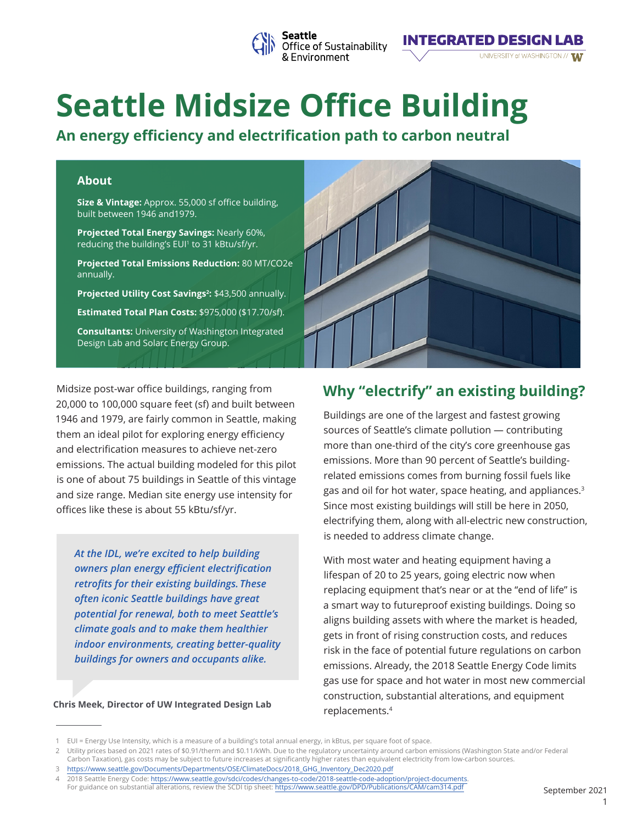

# **Seattle Midsize Office Building**

**An energy efficiency and electrification path to carbon neutral**

#### **About**

**Size & Vintage:** Approx. 55,000 sf office building, built between 1946 and1979.

**Projected Total Energy Savings:** Nearly 60%, reducing the building's EUI<sup>1</sup> to 31 kBtu/sf/yr.

**Projected Total Emissions Reduction:** 80 MT/CO2e annually.

**Projected Utility Cost Savings<sup>2</sup> :** \$43,500 annually.

**Estimated Total Plan Costs:** \$975,000 (\$17.70/sf).

**Consultants:** University of Washington Integrated Design Lab and Solarc Energy Group.

Midsize post-war office buildings, ranging from 20,000 to 100,000 square feet (sf) and built between 1946 and 1979, are fairly common in Seattle, making them an ideal pilot for exploring energy efficiency and electrification measures to achieve net-zero emissions. The actual building modeled for this pilot is one of about 75 buildings in Seattle of this vintage and size range. Median site energy use intensity for offices like these is about 55 kBtu/sf/yr.

*At the IDL, we're excited to help building owners plan energy efficient electrification retrofits for their existing buildings. These often iconic Seattle buildings have great potential for renewal, both to meet Seattle's climate goals and to make them healthier indoor environments, creating better-quality buildings for owners and occupants alike.*

#### **Chris Meek, Director of UW Integrated Design Lab**



**INTEGRATED DESIGN LAB** 

UNIVERSITY of WASHINGTON // W

## **Why "electrify" an existing building?**

Buildings are one of the largest and fastest growing sources of Seattle's climate pollution — contributing more than one-third of the city's core greenhouse gas emissions. More than 90 percent of Seattle's buildingrelated emissions comes from burning fossil fuels like gas and oil for hot water, space heating, and appliances.<sup>3</sup> Since most existing buildings will still be here in 2050, electrifying them, along with all-electric new construction, is needed to address climate change.

With most water and heating equipment having a lifespan of 20 to 25 years, going electric now when replacing equipment that's near or at the "end of life" is a smart way to futureproof existing buildings. Doing so aligns building assets with where the market is headed, gets in front of rising construction costs, and reduces risk in the face of potential future regulations on carbon emissions. Already, the 2018 Seattle Energy Code limits gas use for space and hot water in most new commercial construction, substantial alterations, and equipment replacements.<sup>4</sup>

<sup>1</sup> EUI = Energy Use Intensity, which is a measure of a building's total annual energy, in kBtus, per square foot of space.

<sup>2</sup> Utility prices based on 2021 rates of \$0.91/therm and \$0.11/kWh. Due to the regulatory uncertainty around carbon emissions (Washington State and/or Federal Carbon Taxation), gas costs may be subject to future increases at significantly higher rates than equivalent electricity from low-carbon sources.

<sup>3</sup> https://www.seattle.gov/Documents/Departments/OSE/ClimateDocs/2018\_GHG\_Inventory\_Dec2020.pdf

<sup>4</sup> 2018 Seattle Energy Code: https://www.seattle.gov/sdci/codes/changes-to-code/2018-seattle-code-adoption/project-documents.

For guidance on substantial alterations, review the SCDI tip sheet: https://www.seattle.gov/DPD/Publications/CAM/cam314.pdf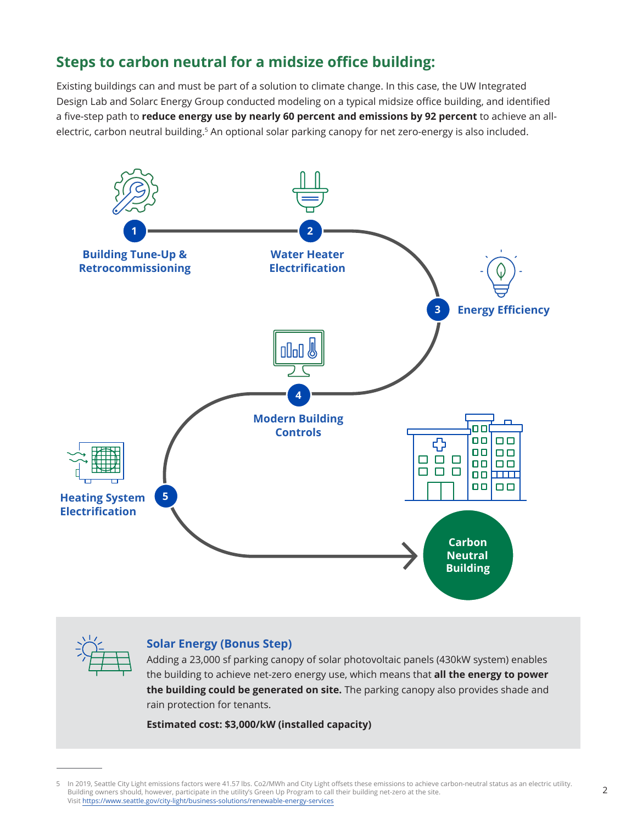# **Steps to carbon neutral for a midsize office building:**

Existing buildings can and must be part of a solution to climate change. In this case, the UW Integrated Design Lab and Solarc Energy Group conducted modeling on a typical midsize office building, and identified a five-step path to **reduce energy use by nearly 60 percent and emissions by 92 percent** to achieve an allelectric, carbon neutral building.<sup>5</sup> An optional solar parking canopy for net zero-energy is also included.





#### **Solar Energy (Bonus Step)**

Adding a 23,000 sf parking canopy of solar photovoltaic panels (430kW system) enables the building to achieve net-zero energy use, which means that **all the energy to power the building could be generated on site.** The parking canopy also provides shade and rain protection for tenants.

**Estimated cost: \$3,000/kW (installed capacity)**

<sup>5</sup> In 2019, Seattle City Light emissions factors were 41.57 lbs. Co2/MWh and City Light offsets these emissions to achieve carbon-neutral status as an electric utility. Building owners should, however, participate in the utility's Green Up Program to call their building net-zero at the site. Visit https://www.seattle.gov/city-light/business-solutions/renewable-energy-services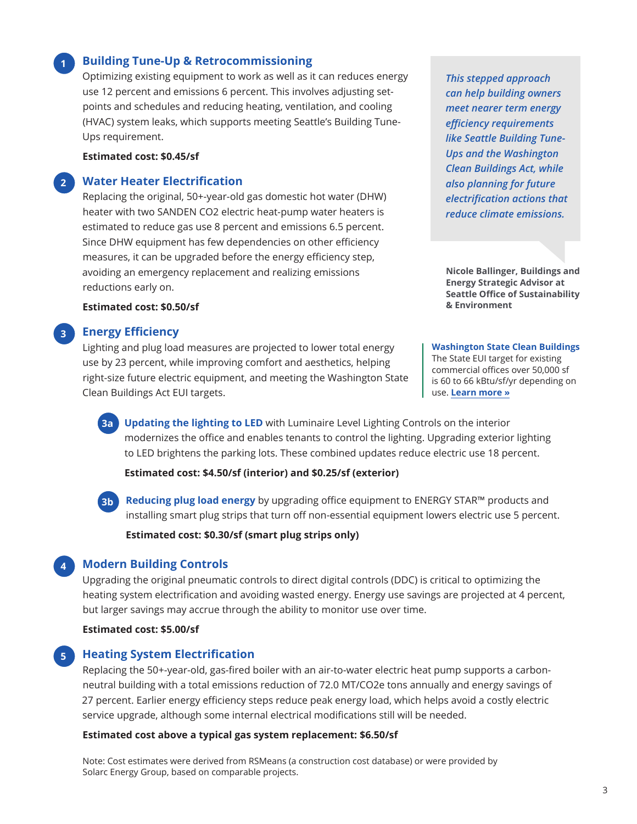#### **Building Tune-Up & Retrocommissioning**

Optimizing existing equipment to work as well as it can reduces energy use 12 percent and emissions 6 percent. This involves adjusting setpoints and schedules and reducing heating, ventilation, and cooling (HVAC) system leaks, which supports meeting Seattle's Building Tune-Ups requirement.

#### **Estimated cost: \$0.45/sf**

**1**

**3**

**4**

#### **2 Water Heater Electrification**

Replacing the original, 50+-year-old gas domestic hot water (DHW) heater with two SANDEN CO2 electric heat-pump water heaters is estimated to reduce gas use 8 percent and emissions 6.5 percent. Since DHW equipment has few dependencies on other efficiency measures, it can be upgraded before the energy efficiency step, avoiding an emergency replacement and realizing emissions reductions early on.

**Estimated cost: \$0.50/sf**

#### **Energy Efficiency**

Lighting and plug load measures are projected to lower total energy use by 23 percent, while improving comfort and aesthetics, helping right-size future electric equipment, and meeting the Washington State Clean Buildings Act EUI targets.

*This stepped approach can help building owners meet nearer term energy efficiency requirements like Seattle Building Tune-Ups and the Washington Clean Buildings Act, while also planning for future electrification actions that reduce climate emissions.*

**Nicole Ballinger, Buildings and Energy Strategic Advisor at Seattle Office of Sustainability & Environment**

**Washington State Clean Buildings** The State EUI target for existing commercial offices over 50,000 sf is 60 to 66 kBtu/sf/yr depending on use. **Learn more »**

**3a Updating the lighting to LED** with Luminaire Level Lighting Controls on the interior modernizes the office and enables tenants to control the lighting. Upgrading exterior lighting to LED brightens the parking lots. These combined updates reduce electric use 18 percent.

**Estimated cost: \$4.50/sf (interior) and \$0.25/sf (exterior)**



**Reducing plug load energy** by upgrading office equipment to ENERGY STAR™ products and installing smart plug strips that turn off non-essential equipment lowers electric use 5 percent.

**Estimated cost: \$0.30/sf (smart plug strips only)**

#### **Modern Building Controls**

Upgrading the original pneumatic controls to direct digital controls (DDC) is critical to optimizing the heating system electrification and avoiding wasted energy. Energy use savings are projected at 4 percent, but larger savings may accrue through the ability to monitor use over time.

#### **Estimated cost: \$5.00/sf**

#### **5 Heating System Electrification**

Replacing the 50+-year-old, gas-fired boiler with an air-to-water electric heat pump supports a carbonneutral building with a total emissions reduction of 72.0 MT/CO2e tons annually and energy savings of 27 percent. Earlier energy efficiency steps reduce peak energy load, which helps avoid a costly electric service upgrade, although some internal electrical modifications still will be needed.

#### **Estimated cost above a typical gas system replacement: \$6.50/sf**

Note: Cost estimates were derived from RSMeans (a construction cost database) or were provided by Solarc Energy Group, based on comparable projects.